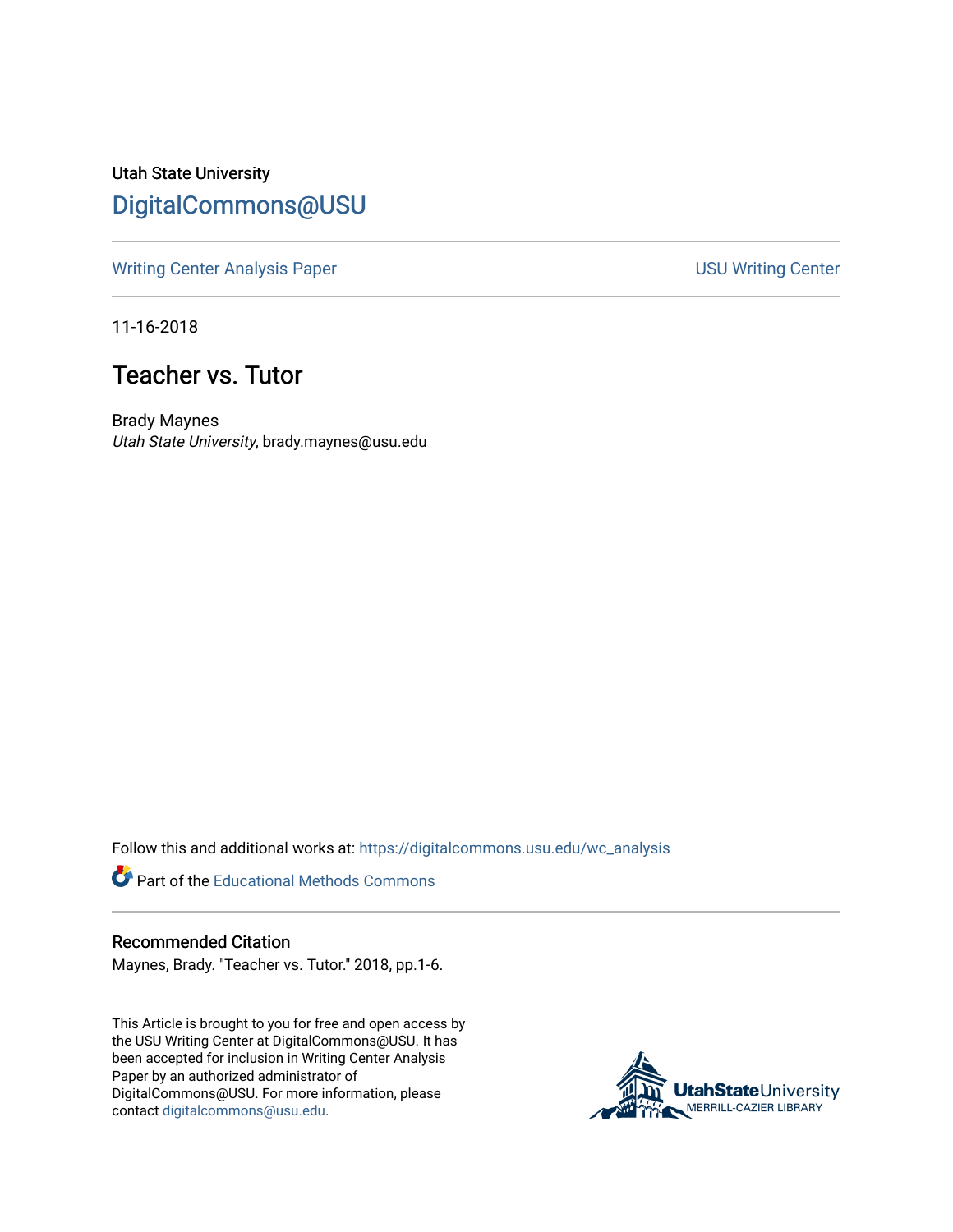Utah State University [DigitalCommons@USU](https://digitalcommons.usu.edu/)

[Writing Center Analysis Paper](https://digitalcommons.usu.edu/wc_analysis) **National State of Analysis Paper** National Section 1980 Writing Center

11-16-2018

## Teacher vs. Tutor

Brady Maynes Utah State University, brady.maynes@usu.edu

Follow this and additional works at: [https://digitalcommons.usu.edu/wc\\_analysis](https://digitalcommons.usu.edu/wc_analysis?utm_source=digitalcommons.usu.edu%2Fwc_analysis%2F14&utm_medium=PDF&utm_campaign=PDFCoverPages) 

Part of the [Educational Methods Commons](http://network.bepress.com/hgg/discipline/1227?utm_source=digitalcommons.usu.edu%2Fwc_analysis%2F14&utm_medium=PDF&utm_campaign=PDFCoverPages) 

## Recommended Citation

Maynes, Brady. "Teacher vs. Tutor." 2018, pp.1-6.

This Article is brought to you for free and open access by the USU Writing Center at DigitalCommons@USU. It has been accepted for inclusion in Writing Center Analysis Paper by an authorized administrator of DigitalCommons@USU. For more information, please contact [digitalcommons@usu.edu](mailto:digitalcommons@usu.edu).

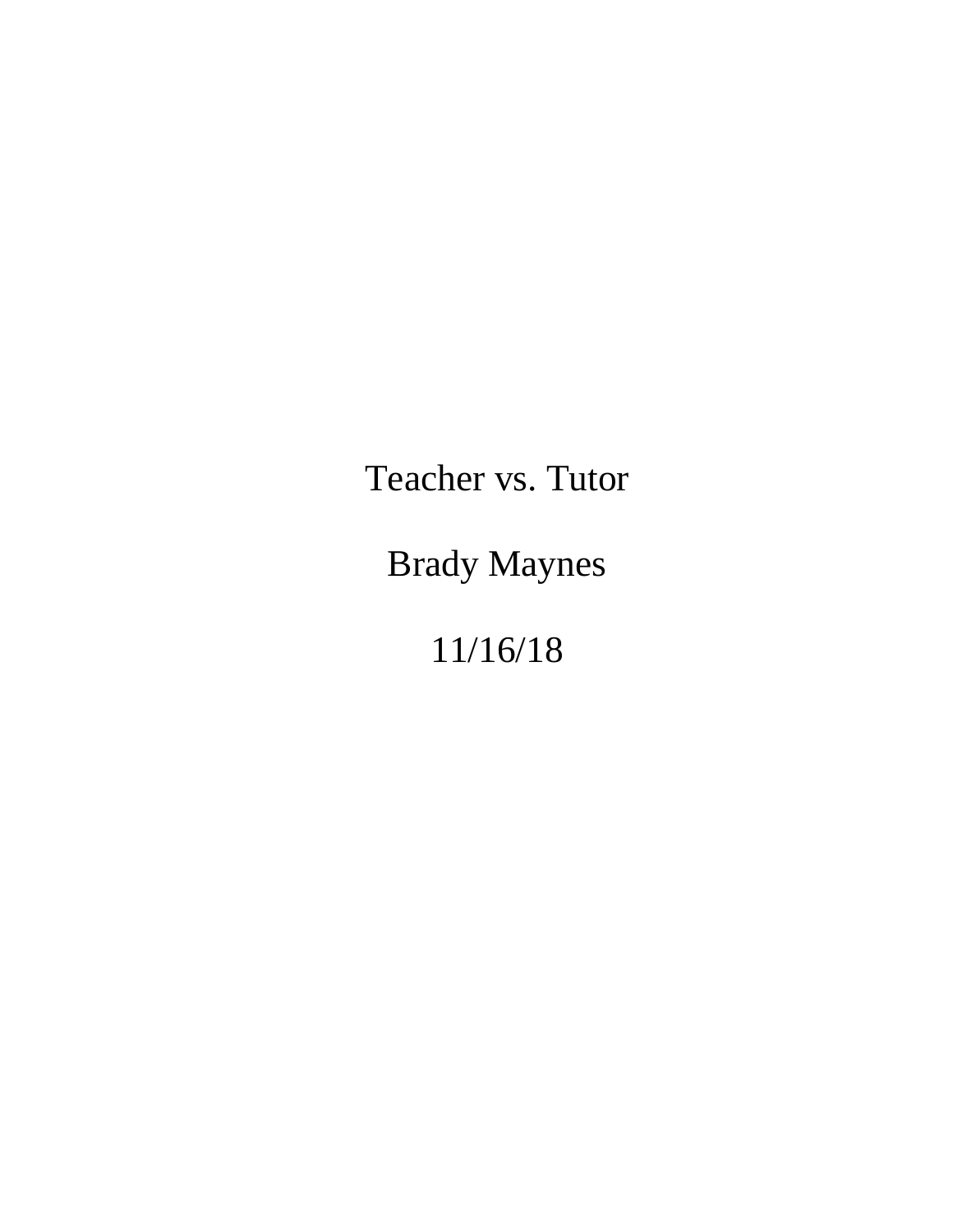Teacher vs. Tutor

Brady Maynes

11/16/18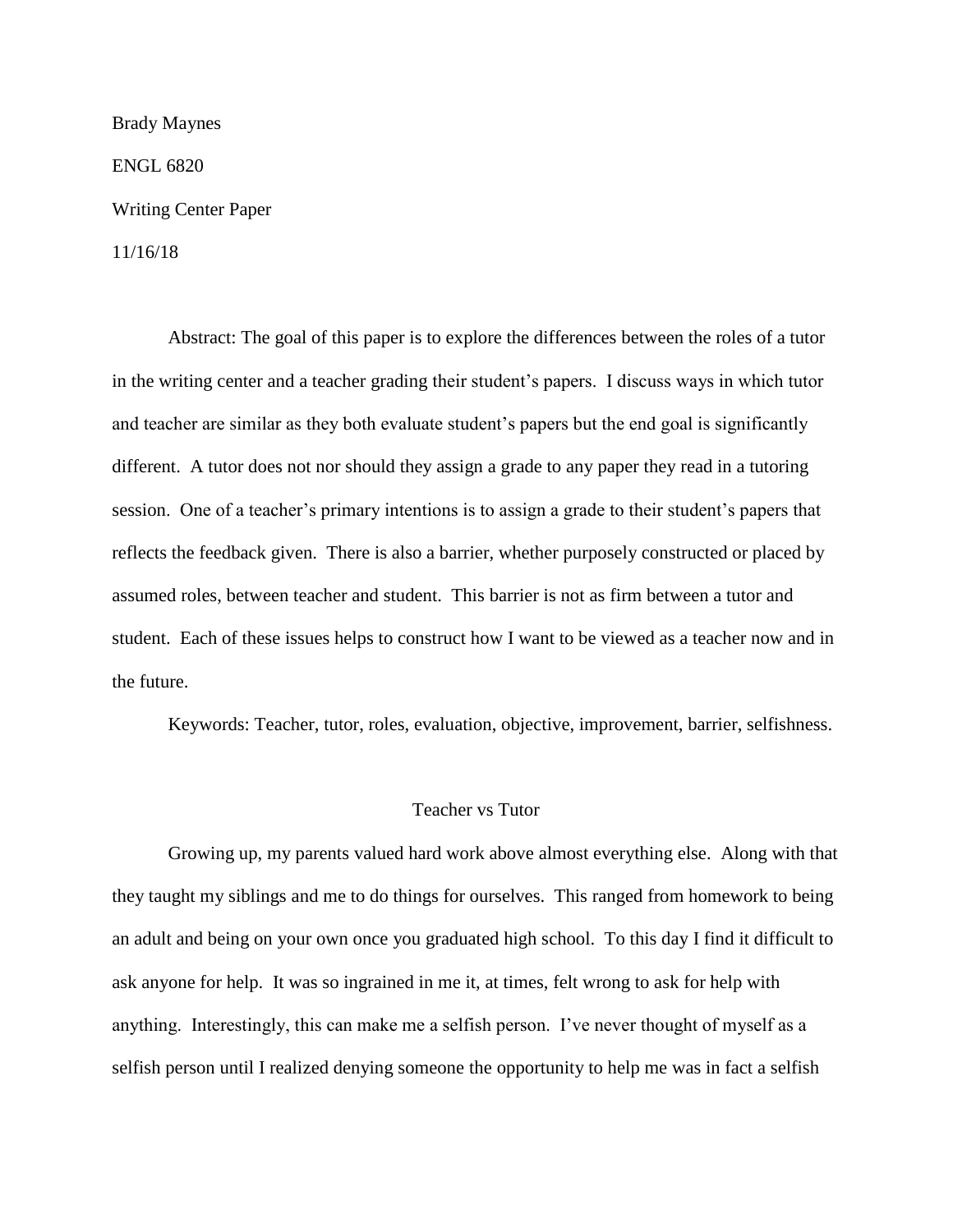Brady Maynes ENGL 6820 Writing Center Paper 11/16/18

Abstract: The goal of this paper is to explore the differences between the roles of a tutor in the writing center and a teacher grading their student's papers. I discuss ways in which tutor and teacher are similar as they both evaluate student's papers but the end goal is significantly different. A tutor does not nor should they assign a grade to any paper they read in a tutoring session. One of a teacher's primary intentions is to assign a grade to their student's papers that reflects the feedback given. There is also a barrier, whether purposely constructed or placed by assumed roles, between teacher and student. This barrier is not as firm between a tutor and student. Each of these issues helps to construct how I want to be viewed as a teacher now and in the future.

Keywords: Teacher, tutor, roles, evaluation, objective, improvement, barrier, selfishness.

## Teacher vs Tutor

Growing up, my parents valued hard work above almost everything else. Along with that they taught my siblings and me to do things for ourselves. This ranged from homework to being an adult and being on your own once you graduated high school. To this day I find it difficult to ask anyone for help. It was so ingrained in me it, at times, felt wrong to ask for help with anything. Interestingly, this can make me a selfish person. I've never thought of myself as a selfish person until I realized denying someone the opportunity to help me was in fact a selfish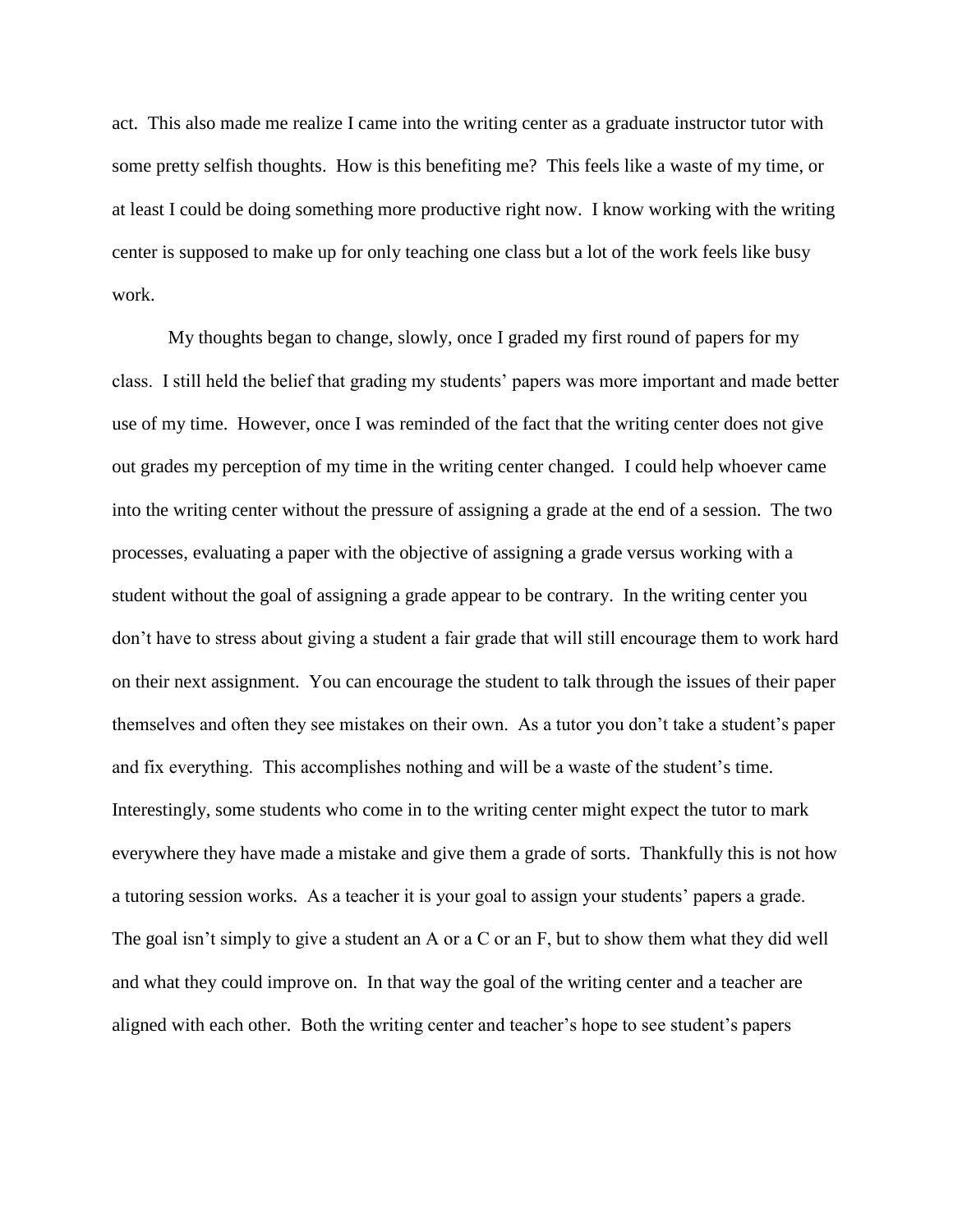act. This also made me realize I came into the writing center as a graduate instructor tutor with some pretty selfish thoughts. How is this benefiting me? This feels like a waste of my time, or at least I could be doing something more productive right now. I know working with the writing center is supposed to make up for only teaching one class but a lot of the work feels like busy work.

My thoughts began to change, slowly, once I graded my first round of papers for my class. I still held the belief that grading my students' papers was more important and made better use of my time. However, once I was reminded of the fact that the writing center does not give out grades my perception of my time in the writing center changed. I could help whoever came into the writing center without the pressure of assigning a grade at the end of a session. The two processes, evaluating a paper with the objective of assigning a grade versus working with a student without the goal of assigning a grade appear to be contrary. In the writing center you don't have to stress about giving a student a fair grade that will still encourage them to work hard on their next assignment. You can encourage the student to talk through the issues of their paper themselves and often they see mistakes on their own. As a tutor you don't take a student's paper and fix everything. This accomplishes nothing and will be a waste of the student's time. Interestingly, some students who come in to the writing center might expect the tutor to mark everywhere they have made a mistake and give them a grade of sorts. Thankfully this is not how a tutoring session works. As a teacher it is your goal to assign your students' papers a grade. The goal isn't simply to give a student an A or a C or an F, but to show them what they did well and what they could improve on. In that way the goal of the writing center and a teacher are aligned with each other. Both the writing center and teacher's hope to see student's papers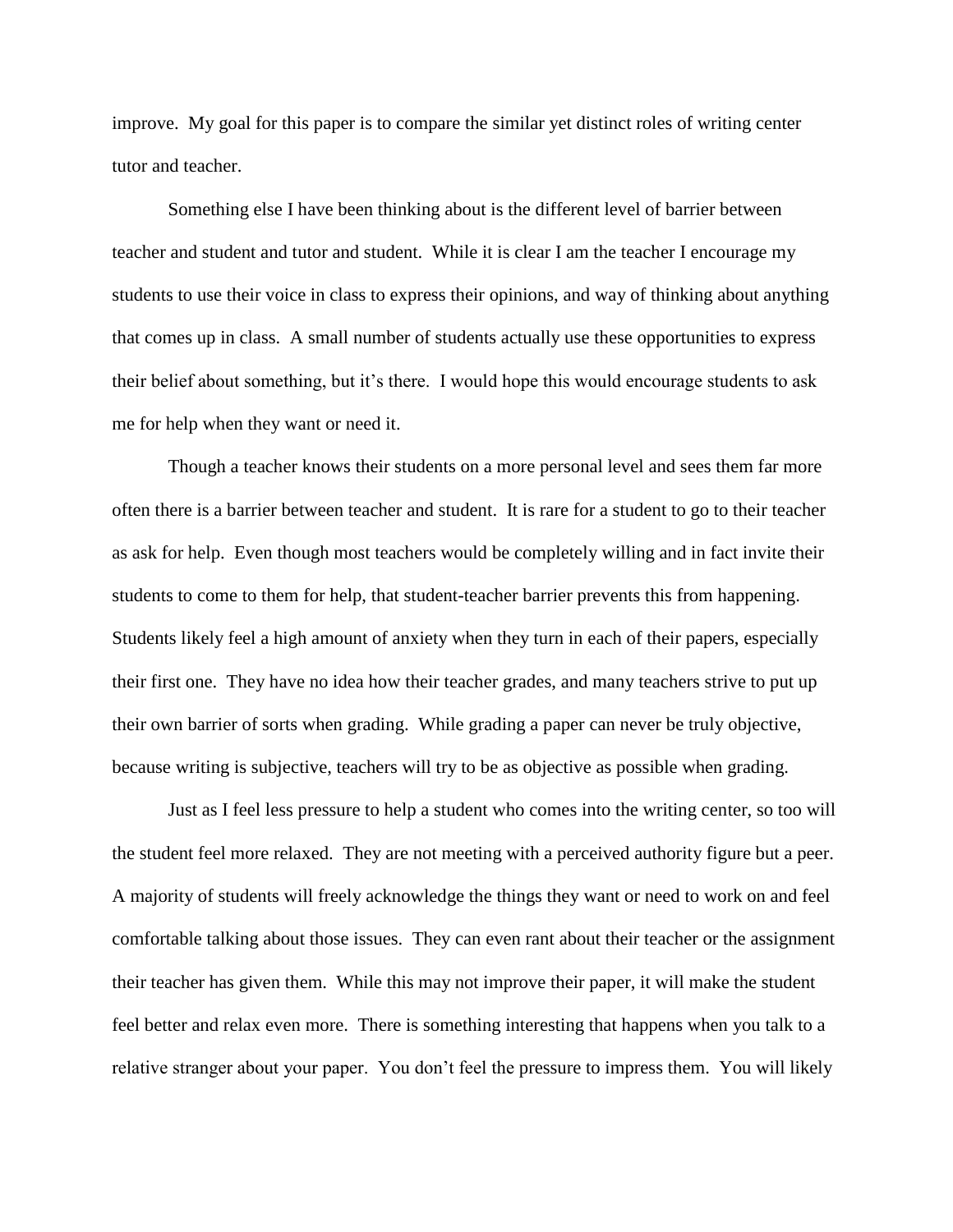improve. My goal for this paper is to compare the similar yet distinct roles of writing center tutor and teacher.

Something else I have been thinking about is the different level of barrier between teacher and student and tutor and student. While it is clear I am the teacher I encourage my students to use their voice in class to express their opinions, and way of thinking about anything that comes up in class. A small number of students actually use these opportunities to express their belief about something, but it's there. I would hope this would encourage students to ask me for help when they want or need it.

Though a teacher knows their students on a more personal level and sees them far more often there is a barrier between teacher and student. It is rare for a student to go to their teacher as ask for help. Even though most teachers would be completely willing and in fact invite their students to come to them for help, that student-teacher barrier prevents this from happening. Students likely feel a high amount of anxiety when they turn in each of their papers, especially their first one. They have no idea how their teacher grades, and many teachers strive to put up their own barrier of sorts when grading. While grading a paper can never be truly objective, because writing is subjective, teachers will try to be as objective as possible when grading.

Just as I feel less pressure to help a student who comes into the writing center, so too will the student feel more relaxed. They are not meeting with a perceived authority figure but a peer. A majority of students will freely acknowledge the things they want or need to work on and feel comfortable talking about those issues. They can even rant about their teacher or the assignment their teacher has given them. While this may not improve their paper, it will make the student feel better and relax even more. There is something interesting that happens when you talk to a relative stranger about your paper. You don't feel the pressure to impress them. You will likely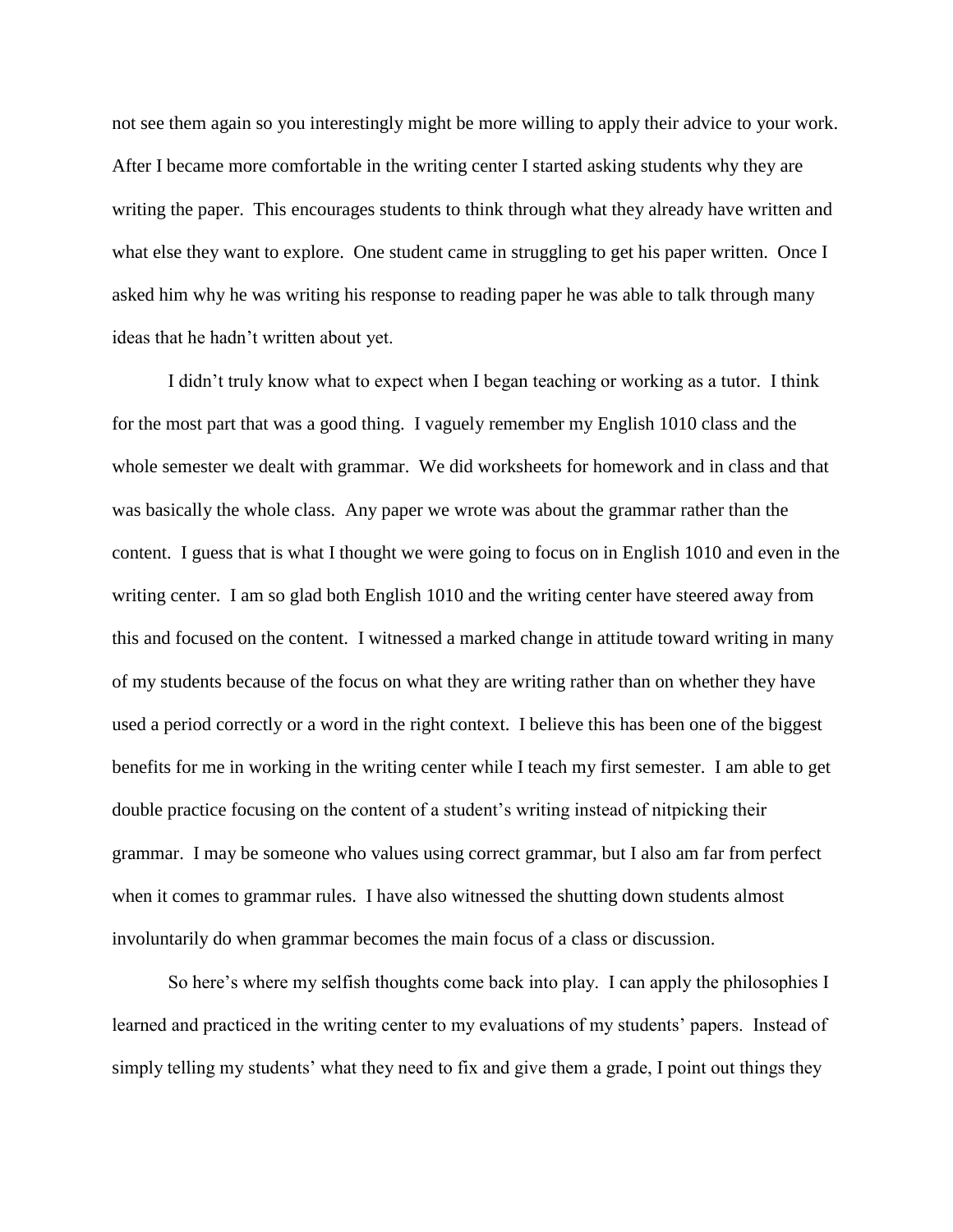not see them again so you interestingly might be more willing to apply their advice to your work. After I became more comfortable in the writing center I started asking students why they are writing the paper. This encourages students to think through what they already have written and what else they want to explore. One student came in struggling to get his paper written. Once I asked him why he was writing his response to reading paper he was able to talk through many ideas that he hadn't written about yet.

I didn't truly know what to expect when I began teaching or working as a tutor. I think for the most part that was a good thing. I vaguely remember my English 1010 class and the whole semester we dealt with grammar. We did worksheets for homework and in class and that was basically the whole class. Any paper we wrote was about the grammar rather than the content. I guess that is what I thought we were going to focus on in English 1010 and even in the writing center. I am so glad both English 1010 and the writing center have steered away from this and focused on the content. I witnessed a marked change in attitude toward writing in many of my students because of the focus on what they are writing rather than on whether they have used a period correctly or a word in the right context. I believe this has been one of the biggest benefits for me in working in the writing center while I teach my first semester. I am able to get double practice focusing on the content of a student's writing instead of nitpicking their grammar. I may be someone who values using correct grammar, but I also am far from perfect when it comes to grammar rules. I have also witnessed the shutting down students almost involuntarily do when grammar becomes the main focus of a class or discussion.

So here's where my selfish thoughts come back into play. I can apply the philosophies I learned and practiced in the writing center to my evaluations of my students' papers. Instead of simply telling my students' what they need to fix and give them a grade, I point out things they